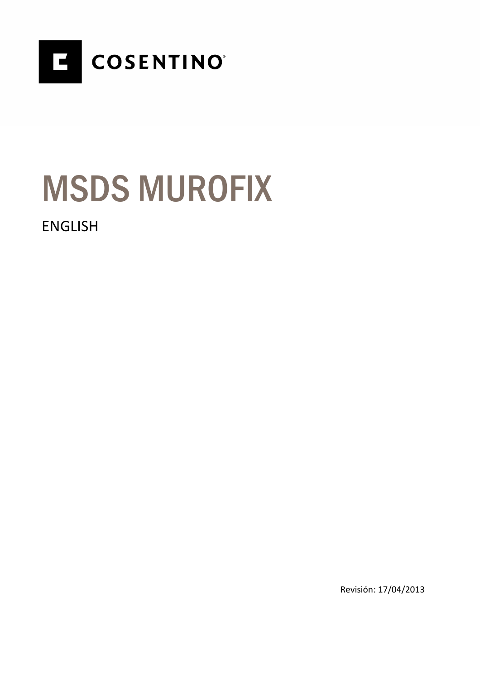

# MSDS MUROFIX

### ENGLISH

Revisión: 17/04/2013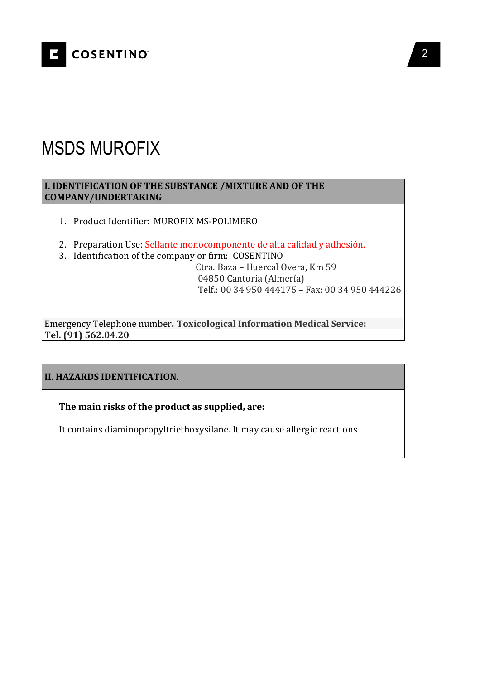

## MSDS MUROFIX

#### **I. IDENTIFICATION OF THE SUBSTANCE /MIXTURE AND OF THE COMPANY/UNDERTAKING**

- 1. Product Identifier:MUROFIX MS-POLIMERO
- 2. Preparation Use: Sellante monocomponente de alta calidad y adhesión.
- 3. Identification of the company or firm: COSENTINO

 Ctra. Baza – Huercal Overa, Km 59 04850 Cantoria (Almería) Telf.: 00 34 950 444175 – Fax: 00 34 950 444226

Emergency Telephone number**. Toxicological Information Medical Service: Tel. (91) 562.04.20**

#### **II. HAZARDS IDENTIFICATION.**

**The main risks of the product as supplied, are:** 

It contains diaminopropyltriethoxysilane. It may cause allergic reactions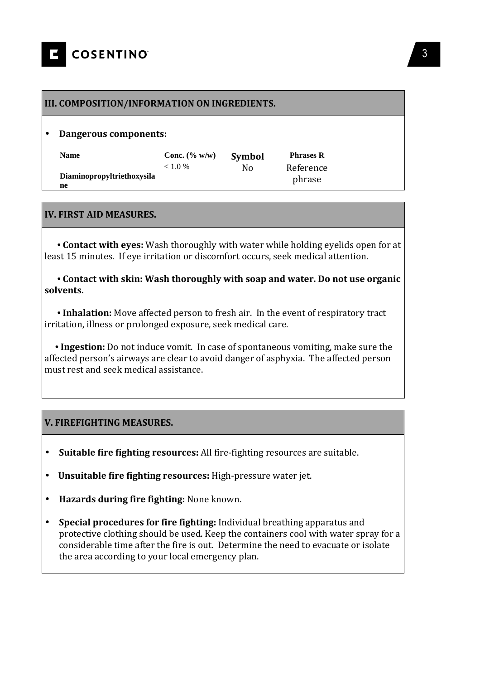#### **III. COMPOSITION/INFORMATION ON INGREDIENTS.**

#### • **Dangerous components:**

| <b>Name</b>                | Conc. $(\% w/w)$ | Symbol | <b>Phrases R</b>    |
|----------------------------|------------------|--------|---------------------|
| Diaminopropyltriethoxysila | < 1.0 %          | N٥     | Reference<br>phrase |
| ne                         |                  |        |                     |

#### **IV. FIRST AID MEASURES.**

 **• Contact with eyes:** Wash thoroughly with water while holding eyelids open for at least 15 minutes. If eve irritation or discomfort occurs, seek medical attention.

 **• Contact with skin: Wash thoroughly with soap and water. Do not use organic solvents.**

 **• Inhalation:** Move affected person to fresh air. In the event of respiratory tract irritation, illness or prolonged exposure, seek medical care.

 **• Ingestion:** Do not induce vomit. In case of spontaneous vomiting, make sure the affected person's airways are clear to avoid danger of asphyxia. The affected person must rest and seek medical assistance.

#### **V. FIREFIGHTING MEASURES.**

- **Suitable fire fighting resources:** All fire-fighting resources are suitable.
- • **Unsuitable fire fighting resources:** High-pressure water jet.
- **Hazards during fire fighting:** None known.
- **Special procedures for fire fighting:** Individual breathing apparatus and protective clothing should be used. Keep the containers cool with water spray for a considerable time after the fire is out. Determine the need to evacuate or isolate the area according to your local emergency plan.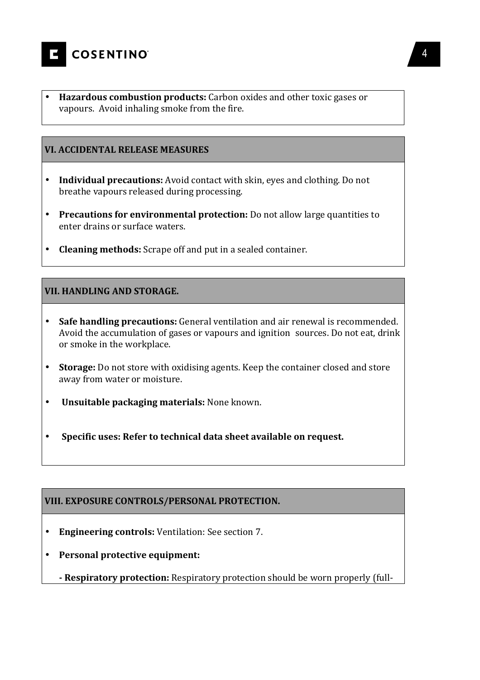

• **Hazardous combustion products:** Carbon oxides and other toxic gases or vapours. Avoid inhaling smoke from the fire.

#### **VI. ACCIDENTAL RELEASE MEASURES**

- **Individual precautions:** Avoid contact with skin, eyes and clothing. Do not breathe vapours released during processing.
- **Precautions for environmental protection:** Do not allow large quantities to enter drains or surface waters.
- **Cleaning methods:** Scrape off and put in a sealed container.

#### **VII. HANDLING AND STORAGE.**

- **Safe handling precautions:** General ventilation and air renewal is recommended. Avoid the accumulation of gases or vapours and ignition sources. Do not eat, drink or smoke in the workplace.
- **Storage:** Do not store with oxidising agents. Keep the container closed and store away from water or moisture.
- **Unsuitable packaging materials:** None known.
- **Specific uses: Refer to technical data sheet available on request.**

#### **VIII. EXPOSURE CONTROLS/PERSONAL PROTECTION.**

- **Engineering controls:** Ventilation: See section 7.
- **Personal protective equipment:**
	- **Respiratory protection:** Respiratory protection should be worn properly (full-

4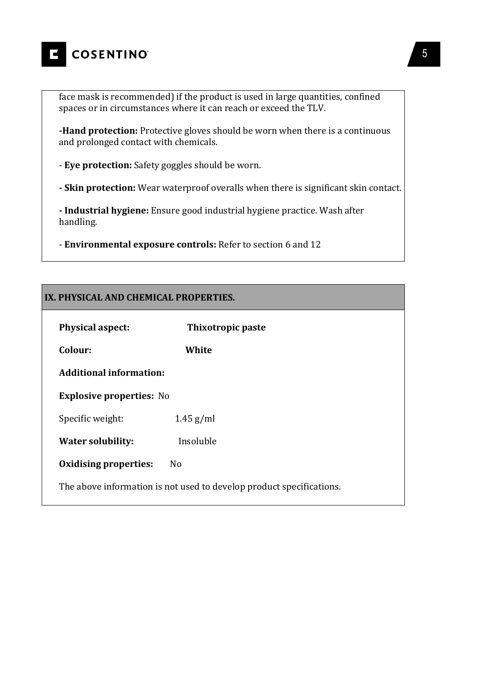

face mask is recommended) if the product is used in large quantities, confined spaces or in circumstances where it can reach or exceed the TLV.

**-Hand protection:** Protective gloves should be worn when there is a continuous and prolonged contact with chemicals.

- **Eye protection:** Safety goggles should be worn.

**- Skin protection:** Wear waterproof overalls when there is significant skin contact.

**- Industrial hygiene:** Ensure good industrial hygiene practice. Wash after handling.

- **Environmental exposure controls:** Refer to section 6 and 12

#### **IX. PHYSICAL AND CHEMICAL PROPERTIES.**

| <b>Physical aspect:</b>                                              | Thixotropic paste |  |
|----------------------------------------------------------------------|-------------------|--|
| Colour:                                                              | White             |  |
| <b>Additional information:</b>                                       |                   |  |
| <b>Explosive properties: No</b>                                      |                   |  |
| Specific weight:                                                     | $1.45$ g/ml       |  |
| <b>Water solubility:</b>                                             | Insoluble         |  |
| <b>Oxidising properties:</b>                                         | N <sub>o</sub>    |  |
| The above information is not used to develop product specifications. |                   |  |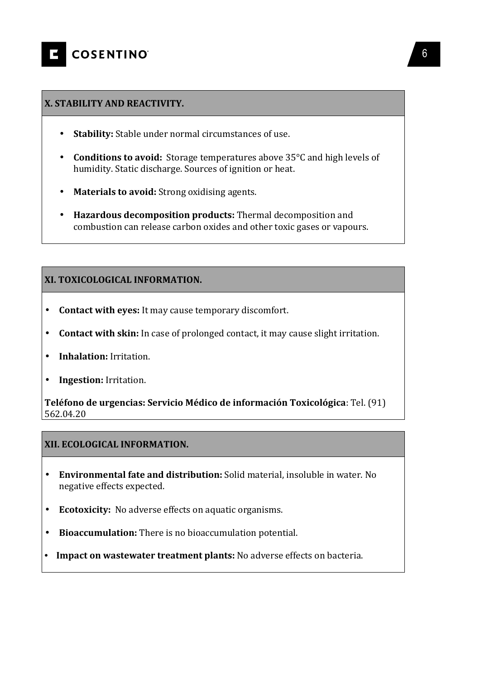#### **X. STABILITY AND REACTIVITY.**

- **Stability:** Stable under normal circumstances of use.
- **Conditions to avoid:** Storage temperatures above 35°C and high levels of humidity. Static discharge. Sources of ignition or heat.
- **Materials to avoid:** Strong oxidising agents.
- **Hazardous decomposition products:** Thermal decomposition and combustion can release carbon oxides and other toxic gases or vapours.

#### **XI. TOXICOLOGICAL INFORMATION.**

- **Contact with eyes:** It may cause temporary discomfort.
- **Contact with skin:** In case of prolonged contact, it may cause slight irritation.
- **Inhalation:** Irritation.
- **Ingestion:** Irritation.

**Teléfono de urgencias: Servicio Médico de información Toxicológica**: Tel. (91) 562.04.20

#### **XII. ECOLOGICAL INFORMATION.**

- **Environmental fate and distribution:** Solid material, insoluble in water. No negative effects expected.
- **Ecotoxicity:** No adverse effects on aquatic organisms.
- **Bioaccumulation:** There is no bioaccumulation potential.
- **• Impact on wastewater treatment plants:** No adverse effects on bacteria.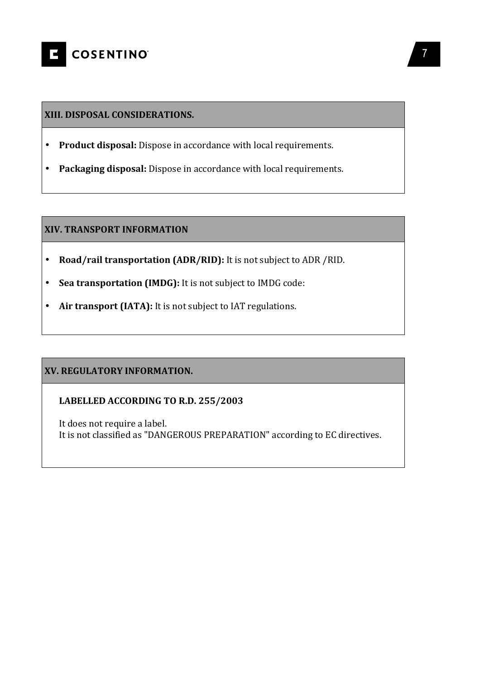

#### **XIII. DISPOSAL CONSIDERATIONS.**

- **Product disposal:** Dispose in accordance with local requirements.
- **Packaging disposal:** Dispose in accordance with local requirements.

#### **XIV. TRANSPORT INFORMATION**

- **Road/rail transportation (ADR/RID):** It is not subject to ADR /RID.
- **Sea transportation (IMDG):** It is not subject to IMDG code:
- **Air transport (IATA):** It is not subject to IAT regulations.

#### **XV. REGULATORY INFORMATION.**

#### **LABELLED ACCORDING TO R.D. 255/2003**

It does not require a label. It is not classified as "DANGEROUS PREPARATION" according to EC directives.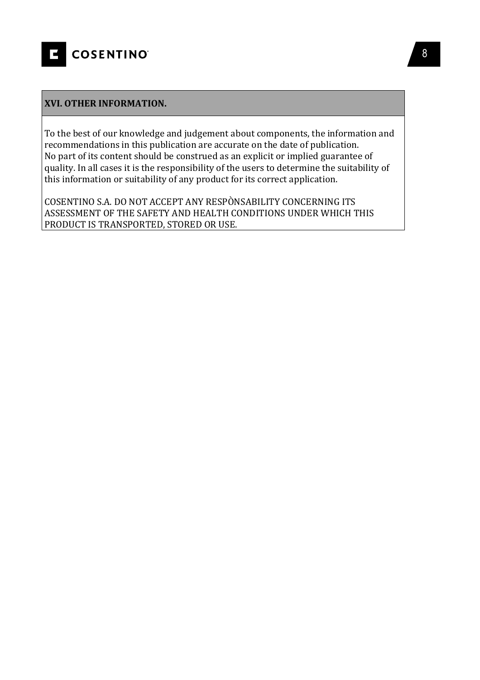

#### **XVI. OTHER INFORMATION.**

To the best of our knowledge and judgement about components, the information and recommendations in this publication are accurate on the date of publication. No part of its content should be construed as an explicit or implied guarantee of quality. In all cases it is the responsibility of the users to determine the suitability of this information or suitability of any product for its correct application.

COSENTINO S.A. DO NOT ACCEPT ANY RESPÒNSABILITY CONCERNING ITS ASSESSMENT OF THE SAFETY AND HEALTH CONDITIONS UNDER WHICH THIS PRODUCT IS TRANSPORTED, STORED OR USE.